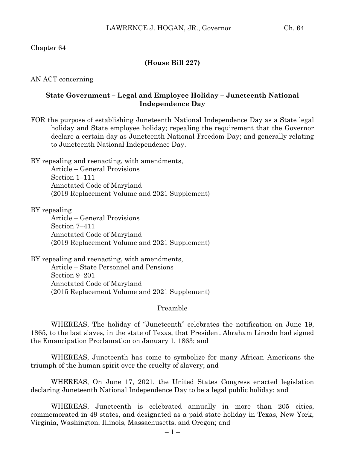## Chapter 64

### **(House Bill 227)**

AN ACT concerning

### **State Government – Legal and Employee Holiday – Juneteenth National Independence Day**

FOR the purpose of establishing Juneteenth National Independence Day as a State legal holiday and State employee holiday; repealing the requirement that the Governor declare a certain day as Juneteenth National Freedom Day; and generally relating to Juneteenth National Independence Day.

BY repealing and reenacting, with amendments, Article – General Provisions

Section 1–111 Annotated Code of Maryland (2019 Replacement Volume and 2021 Supplement)

BY repealing

Article – General Provisions Section 7–411 Annotated Code of Maryland (2019 Replacement Volume and 2021 Supplement)

BY repealing and reenacting, with amendments, Article – State Personnel and Pensions Section 9–201 Annotated Code of Maryland (2015 Replacement Volume and 2021 Supplement)

Preamble

WHEREAS, The holiday of "Juneteenth" celebrates the notification on June 19, 1865, to the last slaves, in the state of Texas, that President Abraham Lincoln had signed the Emancipation Proclamation on January 1, 1863; and

WHEREAS, Juneteenth has come to symbolize for many African Americans the triumph of the human spirit over the cruelty of slavery; and

WHEREAS, On June 17, 2021, the United States Congress enacted legislation declaring Juneteenth National Independence Day to be a legal public holiday; and

WHEREAS, Juneteenth is celebrated annually in more than 205 cities, commemorated in 49 states, and designated as a paid state holiday in Texas, New York, Virginia, Washington, Illinois, Massachusetts, and Oregon; and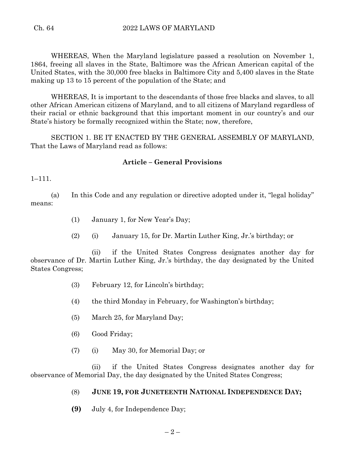WHEREAS, When the Maryland legislature passed a resolution on November 1, 1864, freeing all slaves in the State, Baltimore was the African American capital of the United States, with the 30,000 free blacks in Baltimore City and 5,400 slaves in the State making up 13 to 15 percent of the population of the State; and

WHEREAS, It is important to the descendants of those free blacks and slaves, to all other African American citizens of Maryland, and to all citizens of Maryland regardless of their racial or ethnic background that this important moment in our country's and our State's history be formally recognized within the State; now, therefore,

SECTION 1. BE IT ENACTED BY THE GENERAL ASSEMBLY OF MARYLAND, That the Laws of Maryland read as follows:

## **Article – General Provisions**

1–111.

(a) In this Code and any regulation or directive adopted under it, "legal holiday" means:

- (1) January 1, for New Year's Day;
- (2) (i) January 15, for Dr. Martin Luther King, Jr.'s birthday; or

(ii) if the United States Congress designates another day for observance of Dr. Martin Luther King, Jr.'s birthday, the day designated by the United States Congress;

- (3) February 12, for Lincoln's birthday;
- (4) the third Monday in February, for Washington's birthday;
- (5) March 25, for Maryland Day;
- (6) Good Friday;
- (7) (i) May 30, for Memorial Day; or

(ii) if the United States Congress designates another day for observance of Memorial Day, the day designated by the United States Congress;

# (8) **JUNE 19, FOR JUNETEENTH NATIONAL INDEPENDENCE DAY;**

**(9)** July 4, for Independence Day;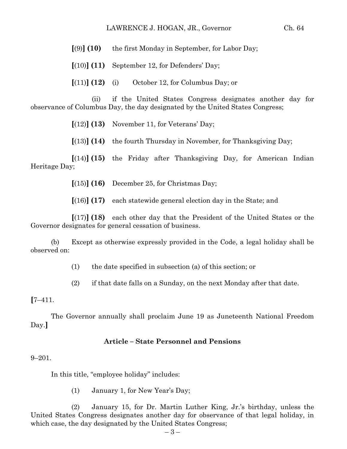#### LAWRENCE J. HOGAN, JR., Governor Ch. 64

**[**(9)**] (10)** the first Monday in September, for Labor Day;

**[**(10)**] (11)** September 12, for Defenders' Day;

 $[(11)]$   $(12)$  (i) October 12, for Columbus Day; or

(ii) if the United States Congress designates another day for observance of Columbus Day, the day designated by the United States Congress;

**[**(12)**] (13)** November 11, for Veterans' Day;

**[**(13)**] (14)** the fourth Thursday in November, for Thanksgiving Day;

**[**(14)**] (15)** the Friday after Thanksgiving Day, for American Indian Heritage Day;

**[**(15)**] (16)** December 25, for Christmas Day;

**[**(16)**] (17)** each statewide general election day in the State; and

**[**(17)**] (18)** each other day that the President of the United States or the Governor designates for general cessation of business.

(b) Except as otherwise expressly provided in the Code, a legal holiday shall be observed on:

(1) the date specified in subsection (a) of this section; or

(2) if that date falls on a Sunday, on the next Monday after that date.

**[**7–411.

The Governor annually shall proclaim June 19 as Juneteenth National Freedom Day.**]**

#### **Article – State Personnel and Pensions**

#### 9–201.

In this title, "employee holiday" includes:

(1) January 1, for New Year's Day;

(2) January 15, for Dr. Martin Luther King, Jr.'s birthday, unless the United States Congress designates another day for observance of that legal holiday, in which case, the day designated by the United States Congress;